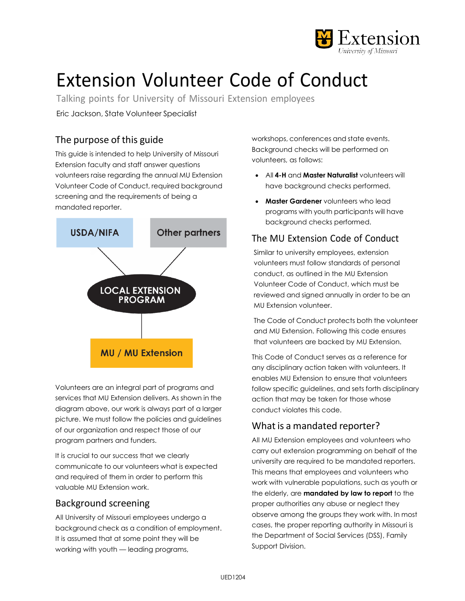

# Extension Volunteer Code of Conduct

Talking points for University of Missouri Extension employees

Eric Jackson, State Volunteer Specialist

# The purpose of this guide

This guide is intended to help University of Missouri Extension faculty and staff answer questions volunteers raise regarding the annual MU Extension Volunteer Code of Conduct, required background screening and the requirements of being a mandated reporter.



Volunteers are an integral part of programs and services that MU Extension delivers. As shown in the diagram above, our work is always part of a larger picture. We must follow the policies and guidelines of our organization and respect those of our program partners and funders.

It is crucial to our success that we clearly communicate to our volunteers what is expected and required of them in order to perform this valuable MU Extension work.

# Background screening

All University of Missouri employees undergo a background check as a condition of employment. It is assumed that at some point they will be working with youth — leading programs,

workshops, conferences and state events. Background checks will be performed on volunteers, as follows:

- All **4-H** and **Master Naturalist** volunteers will have background checks performed.
- **Master Gardener** volunteers who lead programs with youth participants will have background checks performed.

# The MU Extension Code of Conduct

Similar to university employees, extension volunteers must follow standards of personal conduct, as outlined in the MU Extension Volunteer Code of Conduct, which must be reviewed and signed annually in order to be an MU Extension volunteer.

The Code of Conduct protects both the volunteer and MU Extension. Following this code ensures that volunteers are backed by MU Extension.

This Code of Conduct serves as a reference for any disciplinary action taken with volunteers. It enables MU Extension to ensure that volunteers follow specific guidelines, and sets forth disciplinary action that may be taken for those whose conduct violates this code.

# What is a mandated reporter?

All MU Extension employees and volunteers who carry out extension programming on behalf of the university are required to be mandated reporters. This means that employees and volunteers who work with vulnerable populations, such as youth or the elderly, are **mandated by law to report** to the proper authorities any abuse or neglect they observe among the groups they work with. In most cases, the proper reporting authority in Missouri is the Department of Social Services (DSS), Family Support Division.